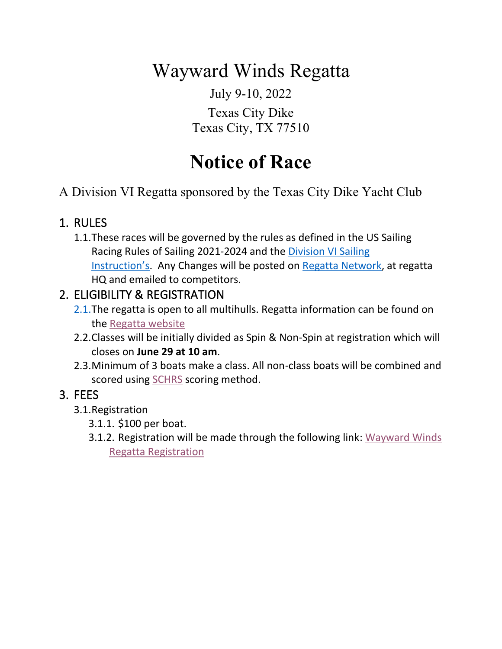# Wayward Winds Regatta

July 9-10, 2022

## Texas City Dike Texas City, TX 77510

# **Notice of Race**

A Division VI Regatta sponsored by the Texas City Dike Yacht Club

# 1. RULES

1.1.These races will be governed by the rules as defined in the US Sailing Racing Rules of Sailing 2021-2024 and the Division VI Sailing Instruction's. Any Changes will be posted on Regatta Network, at regatta HQ and emailed to competitors.

# 2. ELIGIBILITY & REGISTRATION

- 2.1.The regatta is open to all multihulls. Regatta information can be found on the Regatta website
- 2.2.Classes will be initially divided as Spin & Non-Spin at registration which will closes on **June 29 at 10 am**.
- 2.3.Minimum of 3 boats make a class. All non-class boats will be combined and scored using SCHRS scoring method.

# 3. FEES

- 3.1.Registration
	- 3.1.1. \$100 per boat.
	- 3.1.2. Registration will be made through the following link: Wayward Winds Regatta Registration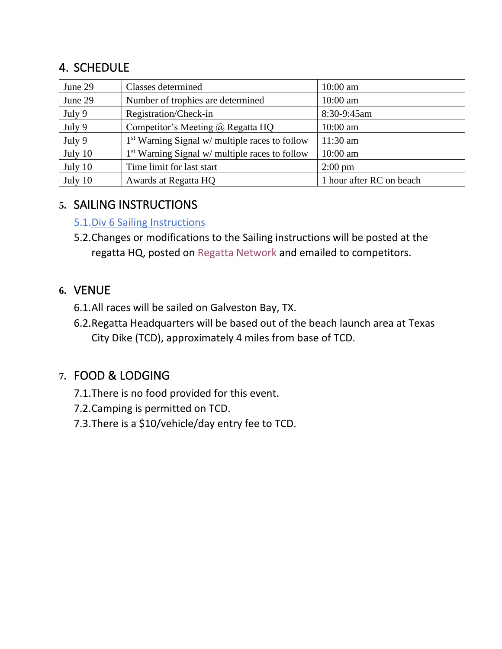# 4. SCHEDULE

| June 29 | Classes determined                               | $10:00$ am               |
|---------|--------------------------------------------------|--------------------------|
| June 29 | Number of trophies are determined                | $10:00$ am               |
| July 9  | Registration/Check-in                            | 8:30-9:45am              |
| July 9  | Competitor's Meeting $\omega$ Regatta HQ         | 10:00 am                 |
| July 9  | $1st$ Warning Signal w/ multiple races to follow | $11:30$ am               |
| July 10 | $1st$ Warning Signal w/ multiple races to follow | 10:00 am                 |
| July 10 | Time limit for last start                        | $2:00 \text{ pm}$        |
| July 10 | Awards at Regatta HQ                             | 1 hour after RC on beach |

## **5.** SAILING INSTRUCTIONS

#### 5.1.Div 6 Sailing Instructions

5.2.Changes or modifications to the Sailing instructions will be posted at the regatta HQ, posted on Regatta Network and emailed to competitors.

## **6.** VENUE

- 6.1.All races will be sailed on Galveston Bay, TX.
- 6.2.Regatta Headquarters will be based out of the beach launch area at Texas City Dike (TCD), approximately 4 miles from base of TCD.

# **7.** FOOD & LODGING

- 7.1.There is no food provided for this event.
- 7.2.Camping is permitted on TCD.
- 7.3.There is a \$10/vehicle/day entry fee to TCD.